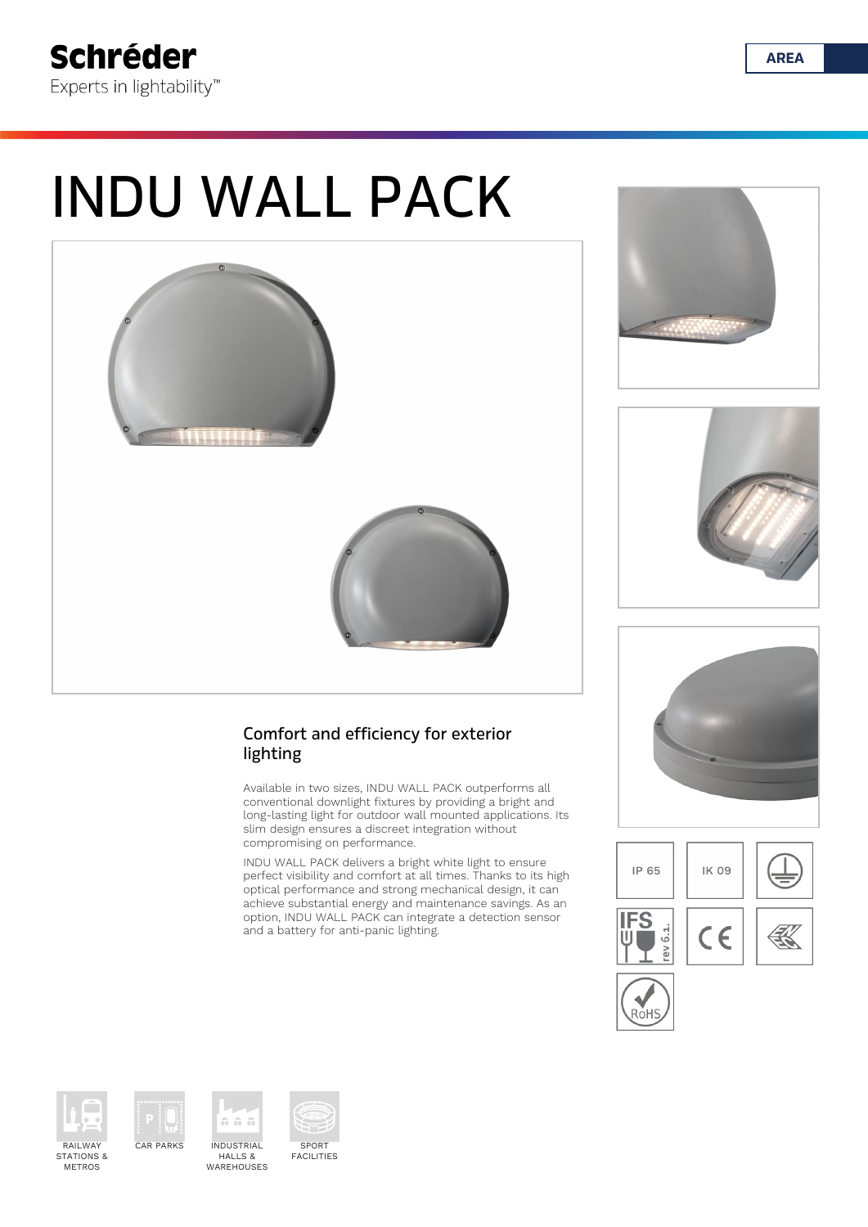# INDU WALL PACK



lighting

Comfort and efficiency for exterior

slim design ensures a discreet integration without

compromising on performance.

and a battery for anti-panic lighting.

Available in two sizes, INDU WALL PACK outperforms all conventional downlight fixtures by providing a bright and long-lasting light for outdoor wall mounted applications. Its

INDU WALL PACK delivers a bright white light to ensure perfect visibility and comfort at all times. Thanks to its high optical performance and strong mechanical design, it can achieve substantial energy and maintenance savings. As an option, INDU WALL PACK can integrate a detection sensor













STATIONS & METROS



CAR PARKS INDUSTRIAL HALLS & WAREHOUSES

n n n



**AREA**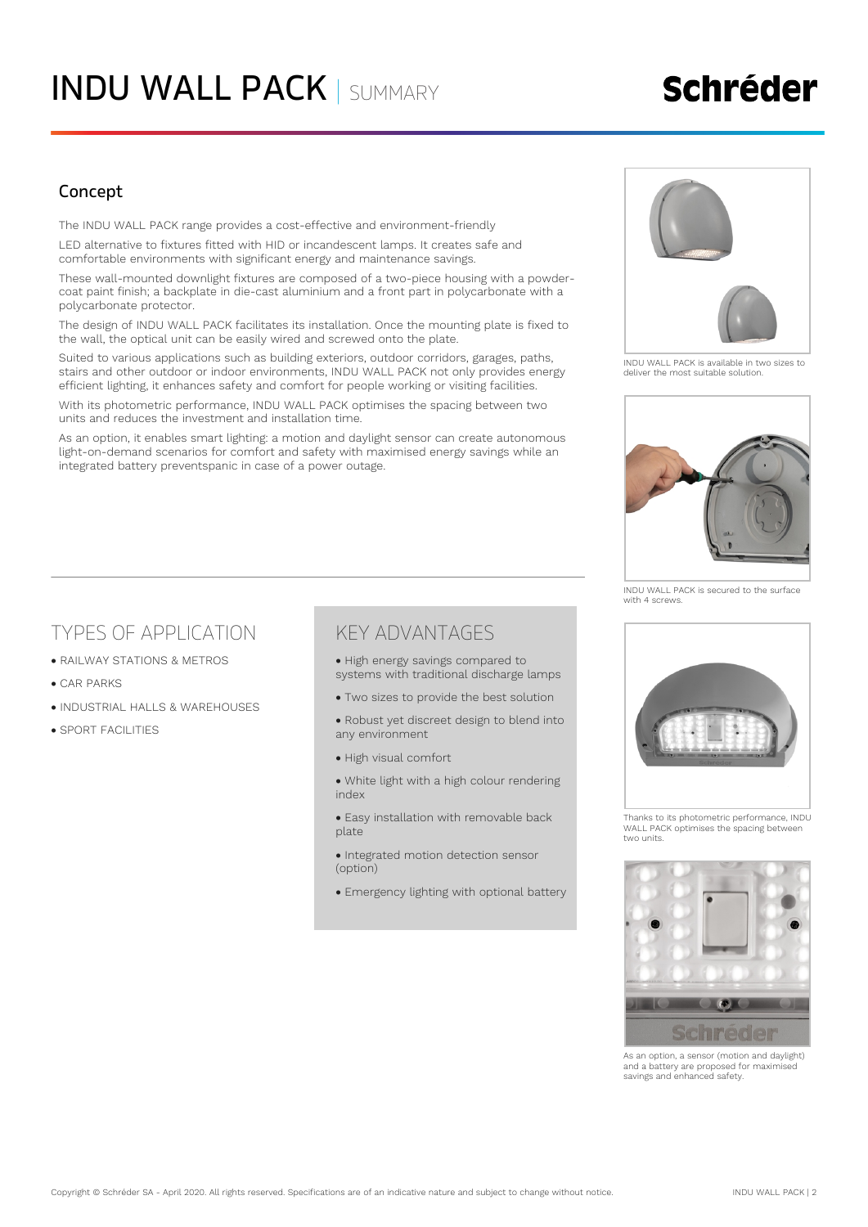## **Schréder**

### Concept

The INDU WALL PACK range provides a cost-effective and environment-friendly

LED alternative to fixtures fitted with HID or incandescent lamps. It creates safe and comfortable environments with significant energy and maintenance savings.

These wall-mounted downlight fixtures are composed of a two-piece housing with a powdercoat paint finish; a backplate in die-cast aluminium and a front part in polycarbonate with a polycarbonate protector.

The design of INDU WALL PACK facilitates its installation. Once the mounting plate is fixed to the wall, the optical unit can be easily wired and screwed onto the plate.

Suited to various applications such as building exteriors, outdoor corridors, garages, paths, stairs and other outdoor or indoor environments, INDU WALL PACK not only provides energy efficient lighting, it enhances safety and comfort for people working or visiting facilities.

With its photometric performance, INDU WALL PACK optimises the spacing between two units and reduces the investment and installation time.

As an option, it enables smart lighting: a motion and daylight sensor can create autonomous light-on-demand scenarios for comfort and safety with maximised energy savings while an integrated battery preventspanic in case of a power outage.



INDU WALL PACK is available in two sizes to deliver the most suitable solution.



INDU WALL PACK is secured to the surface with 4 screws.

### TYPES OF APPLICATION

- **RAILWAY STATIONS & METROS**
- CAR PARKS
- **. INDUSTRIAL HALLS & WAREHOUSES**
- **SPORT FACILITIES**

### KEY ADVANTAGES

- High energy savings compared to systems with traditional discharge lamps
- Two sizes to provide the best solution
- Robust yet discreet design to blend into any environment
- · High visual comfort
- White light with a high colour rendering index
- Easy installation with removable back plate
- Integrated motion detection sensor (option)
- Emergency lighting with optional battery



Thanks to its photometric performance, INDU WALL PACK optimises the spacing between two units.



As an option, a sensor (motion and daylight) and a battery are proposed for maximised savings and enhanced safety.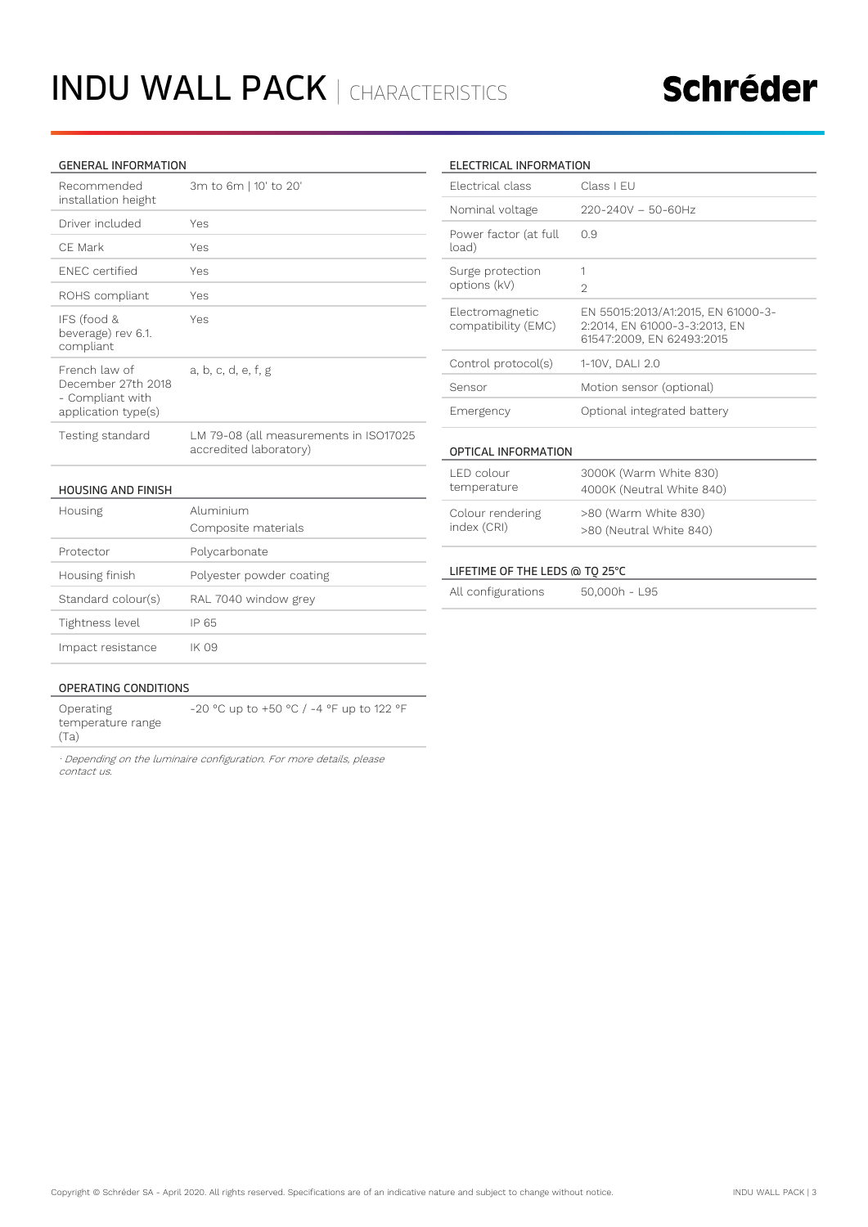# INDU WALL PACK | CHARACTERISTICS

# Schréder

#### GENERAL INFORMATION

| Recommended<br>installation height                                             | 3m to 6m   10' to 20'                                            |
|--------------------------------------------------------------------------------|------------------------------------------------------------------|
| Driver included                                                                | Yes                                                              |
| CF Mark                                                                        | Yes                                                              |
| <b>FNFC</b> certified                                                          | Yes                                                              |
| ROHS compliant                                                                 | Yes                                                              |
| IFS (food &<br>beverage) rev 6.1.<br>compliant                                 | Yes                                                              |
| French law of<br>December 27th 2018<br>- Compliant with<br>application type(s) | a, b, c, d, e, f, g                                              |
| Testing standard                                                               | LM 79-08 (all measurements in ISO17025<br>accredited laboratory) |

#### HOUSING AND FINISH

| Housing            | Aluminium<br>Composite materials |  |  |
|--------------------|----------------------------------|--|--|
| Protector          | Polycarbonate                    |  |  |
| Housing finish     | Polyester powder coating         |  |  |
| Standard colour(s) | RAL 7040 window grey             |  |  |
| Tightness level    | IP 65                            |  |  |
| Impact resistance  | - 09                             |  |  |

#### ELECTRICAL INFORMATION

| <b>Flectrical class</b>                                                                                                                              | Class I FU                                                                                       |  |  |  |
|------------------------------------------------------------------------------------------------------------------------------------------------------|--------------------------------------------------------------------------------------------------|--|--|--|
| Nominal voltage                                                                                                                                      | $220 - 240V - 50 - 60Hz$                                                                         |  |  |  |
| Power factor (at full<br>load)                                                                                                                       | 0.9                                                                                              |  |  |  |
| Surge protection<br>options (kV)                                                                                                                     | 1<br>$\mathfrak{D}$                                                                              |  |  |  |
| Electromagnetic<br>compatibility (EMC)                                                                                                               | EN 55015:2013/A1:2015, EN 61000-3-<br>2:2014, EN 61000-3-3:2013, EN<br>61547:2009, EN 62493:2015 |  |  |  |
| Control protocol(s)                                                                                                                                  | 1-10V, DALI 2.0                                                                                  |  |  |  |
| Sensor                                                                                                                                               | Motion sensor (optional)                                                                         |  |  |  |
| Emergency                                                                                                                                            | Optional integrated battery                                                                      |  |  |  |
| OPTICAL INFORMATION                                                                                                                                  |                                                                                                  |  |  |  |
| LED colour<br>temperature                                                                                                                            | 3000K (Warm White 830)<br>4000K (Neutral White 840)                                              |  |  |  |
| Colour rendering<br>index (CRI)                                                                                                                      | >80 (Warm White 830)<br>>80 (Neutral White 840)                                                  |  |  |  |
| LIFETIME OF THE LEDS @ TO 25°C<br>and the contract of the contract of the contract of<br>$-11$<br>$\Gamma$ $\sim$ $\sim$ $\sim$ $\sim$ $\sim$ $\sim$ |                                                                                                  |  |  |  |

#### All configurations 50,000h - L95

#### OPERATING CONDITIONS

Operating temperature range (Ta) -20 °C up to +50 °C / -4 °F up to 122 °F

*· Depending on the luminaire configuration. For more details, please contact us.*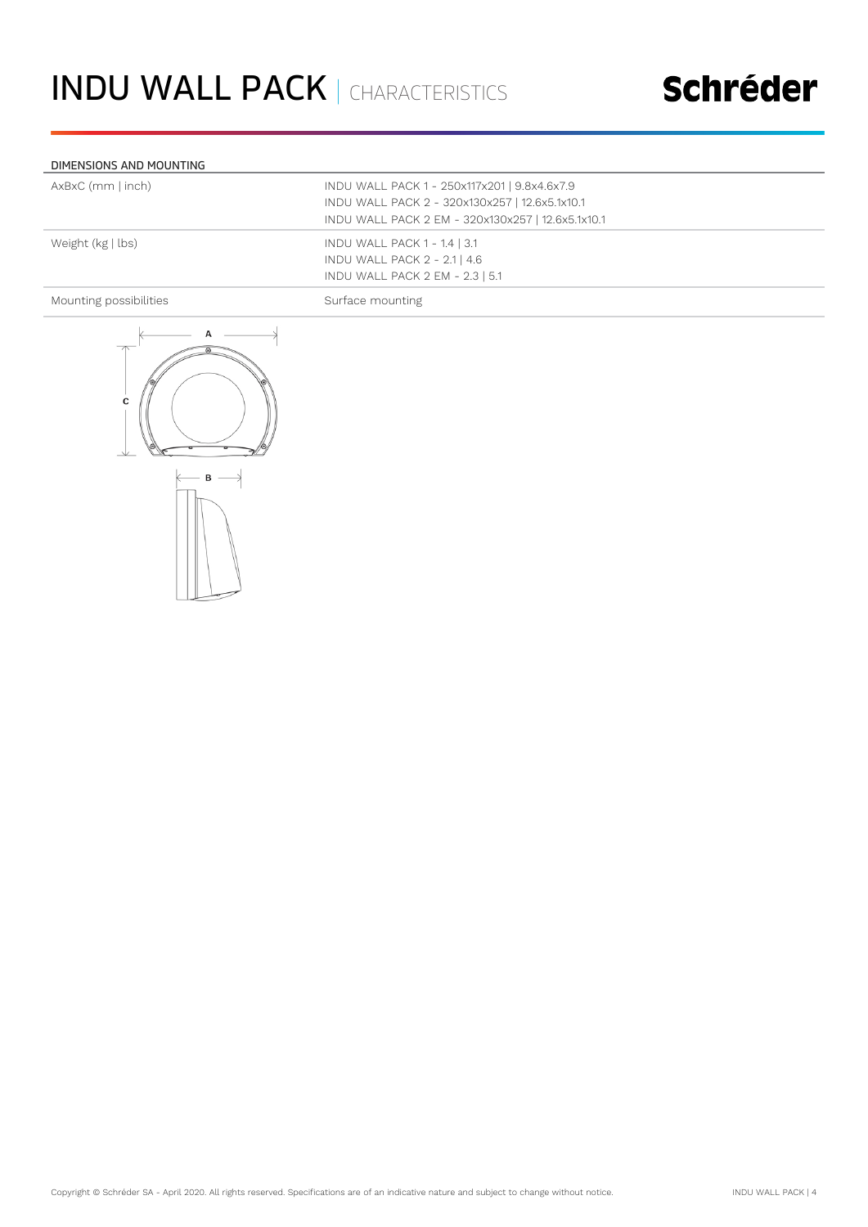### Schréder

#### DIMENSIONS AND MOUNTING

| AxBxC (mm   inch)      | INDU WALL PACK 1 - 250x117x201   9.8x4.6x7.9<br>INDU WALL PACK 2 - 320x130x257   12.6x5.1x10.1<br>INDU WALL PACK 2 EM - 320x130x257   12.6x5.1x10.1 |
|------------------------|-----------------------------------------------------------------------------------------------------------------------------------------------------|
| Weight (kg   lbs)      | INDU WALL PACK 1 - 1.4   3.1<br>INDU WALL PACK 2 - 2.1   4.6<br>INDU WALL PACK 2 EM - 2.3   5.1                                                     |
| Mounting possibilities | Surface mounting                                                                                                                                    |

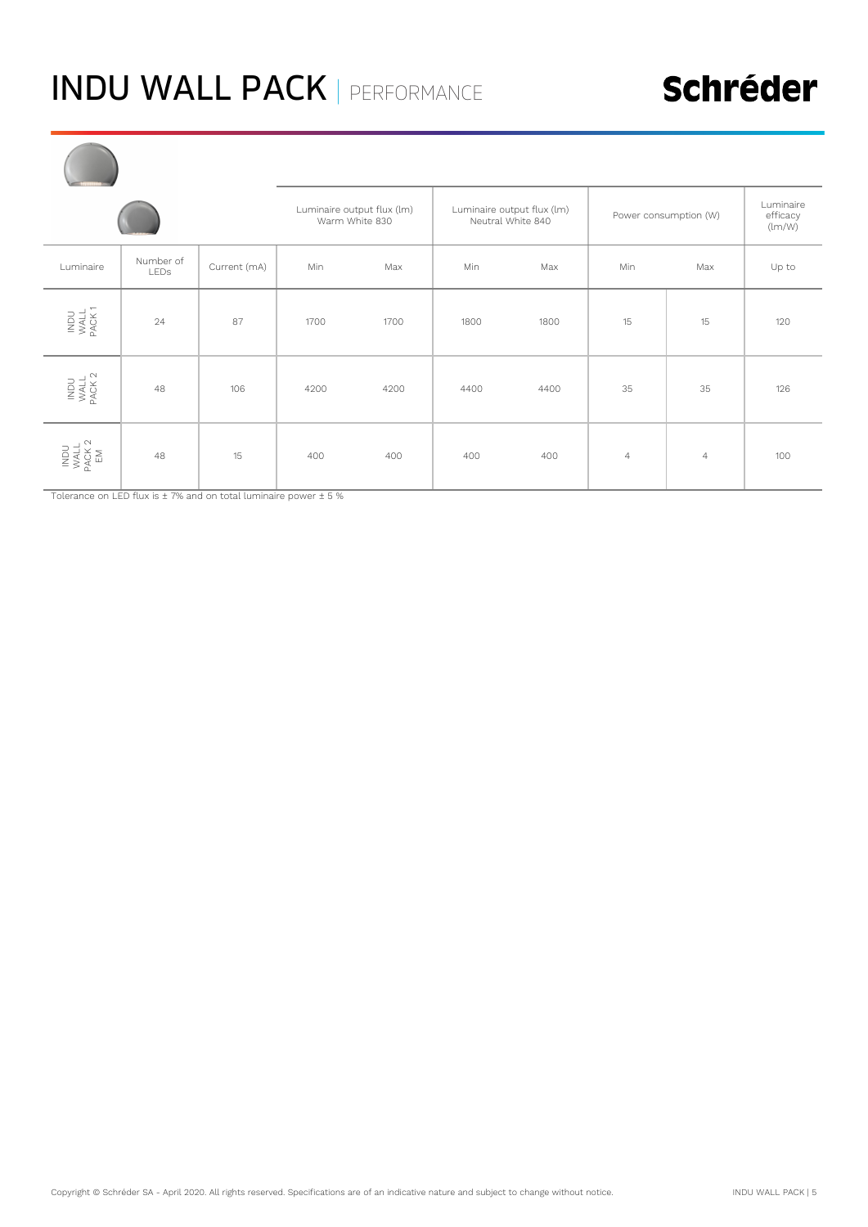# INDU WALL PACK | PERFORMANCE

|  |                              |                          | Luminaire output flux (lm)<br>Warm White 830 |      | Luminaire output flux (lm)<br>Neutral White 840 |      | Power consumption (W) |                | Luminaire<br>efficacy<br>(lm/W) |       |
|--|------------------------------|--------------------------|----------------------------------------------|------|-------------------------------------------------|------|-----------------------|----------------|---------------------------------|-------|
|  | Luminaire                    | Number of<br><b>LEDs</b> | Current (mA)                                 | Min  | Max                                             | Min  | Max                   | Min            | Max                             | Up to |
|  | INDU<br>MALL<br>PACK 1       | 24                       | 87                                           | 1700 | 1700                                            | 1800 | 1800                  | 15             | 15                              | 120   |
|  | INDU<br>MALL<br>PACK 2       | 48                       | 106                                          | 4200 | 4200                                            | 4400 | 4400                  | 35             | 35                              | 126   |
|  | INDU<br>WALL<br>PACK 2<br>EM | 48                       | 15                                           | 400  | 400                                             | 400  | 400                   | $\overline{4}$ | $\overline{4}$                  | 100   |

Tolerance on LED flux is ± 7% and on total luminaire power ± 5 %